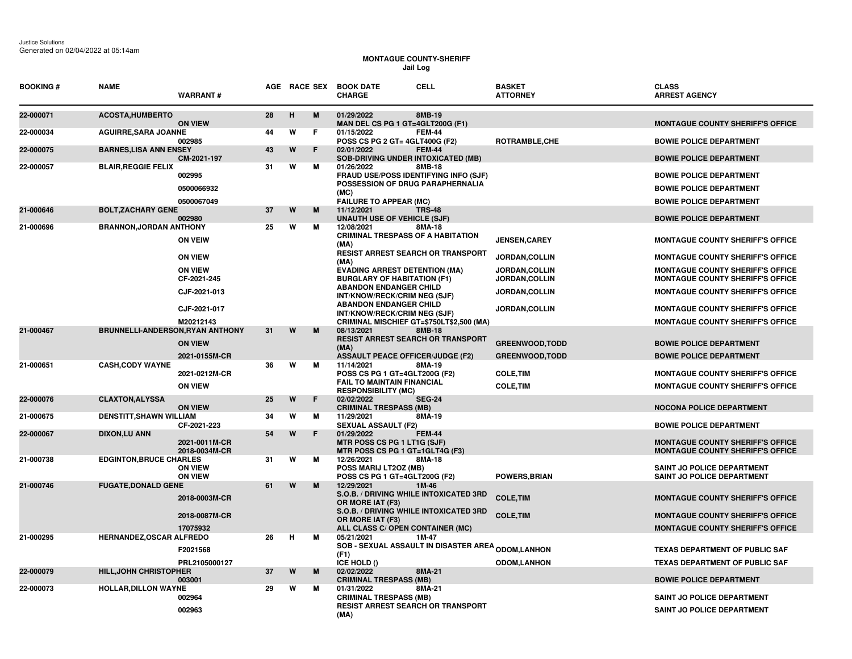## **MONTAGUE COUNTY-SHERIFF Jail Log**

| <b>BOOKING#</b> | <b>NAME</b>                             | <b>WARRANT#</b>                  |    | AGE RACE SEX |    | <b>BOOK DATE</b><br><b>CHARGE</b>                                                            | <b>CELL</b>   | <b>BASKET</b><br><b>ATTORNEY</b> | <b>CLASS</b><br><b>ARREST AGENCY</b>                                               |
|-----------------|-----------------------------------------|----------------------------------|----|--------------|----|----------------------------------------------------------------------------------------------|---------------|----------------------------------|------------------------------------------------------------------------------------|
| 22-000071       | <b>ACOSTA, HUMBERTO</b>                 | <b>ON VIEW</b>                   | 28 | н            | M  | 01/29/2022<br>MAN DEL CS PG 1 GT=4GLT200G (F1)                                               | 8MB-19        |                                  | <b>MONTAGUE COUNTY SHERIFF'S OFFICE</b>                                            |
| 22-000034       | <b>AGUIRRE, SARA JOANNE</b>             | 002985                           | 44 | W            | F  | 01/15/2022<br>POSS CS PG 2 GT= 4GLT400G (F2)                                                 | <b>FEM-44</b> | ROTRAMBLE, CHE                   | <b>BOWIE POLICE DEPARTMENT</b>                                                     |
| 22-000075       | <b>BARNES, LISA ANN ENSEY</b>           | CM-2021-197                      | 43 | W            | F  | 02/01/2022<br><b>SOB-DRIVING UNDER INTOXICATED (MB)</b>                                      | <b>FEM-44</b> |                                  | <b>BOWIE POLICE DEPARTMENT</b>                                                     |
| 22-000057       | <b>BLAIR, REGGIE FELIX</b>              | 002995                           | 31 | W            | м  | 01/26/2022<br>FRAUD USE/POSS IDENTIFYING INFO (SJF)<br>POSSESSION OF DRUG PARAPHERNALIA      | 8MB-18        |                                  | <b>BOWIE POLICE DEPARTMENT</b>                                                     |
|                 |                                         | 0500066932                       |    |              |    | (MC)                                                                                         |               |                                  | <b>BOWIE POLICE DEPARTMENT</b>                                                     |
| 21-000646       | <b>BOLT, ZACHARY GENE</b>               | 0500067049                       | 37 | W            | м  | <b>FAILURE TO APPEAR (MC)</b><br>11/12/2021                                                  | <b>TRS-48</b> |                                  | <b>BOWIE POLICE DEPARTMENT</b>                                                     |
|                 |                                         | 002980                           |    |              |    | <b>UNAUTH USE OF VEHICLE (SJF)</b>                                                           |               |                                  | <b>BOWIE POLICE DEPARTMENT</b>                                                     |
| 21-000696       | <b>BRANNON, JORDAN ANTHONY</b>          |                                  | 25 | W            | м  | 12/08/2021                                                                                   | 8MA-18        |                                  |                                                                                    |
|                 |                                         | <b>ON VEIW</b>                   |    |              |    | <b>CRIMINAL TRESPASS OF A HABITATION</b><br>(MA)<br><b>RESIST ARREST SEARCH OR TRANSPORT</b> |               | <b>JENSEN,CAREY</b>              | <b>MONTAGUE COUNTY SHERIFF'S OFFICE</b>                                            |
|                 |                                         | <b>ON VIEW</b>                   |    |              |    | (MA)                                                                                         |               | JORDAN, COLLIN                   | <b>MONTAGUE COUNTY SHERIFF'S OFFICE</b>                                            |
|                 |                                         | <b>ON VIEW</b><br>CF-2021-245    |    |              |    | <b>EVADING ARREST DETENTION (MA)</b><br><b>BURGLARY OF HABITATION (F1)</b>                   |               | JORDAN, COLLIN<br>JORDAN, COLLIN | <b>MONTAGUE COUNTY SHERIFF'S OFFICE</b><br><b>MONTAGUE COUNTY SHERIFF'S OFFICE</b> |
|                 |                                         | CJF-2021-013                     |    |              |    | <b>ABANDON ENDANGER CHILD</b><br>INT/KNOW/RECK/CRIM NEG (SJF)                                |               | JORDAN, COLLIN                   | <b>MONTAGUE COUNTY SHERIFF'S OFFICE</b>                                            |
|                 |                                         | CJF-2021-017                     |    |              |    | <b>ABANDON ENDANGER CHILD</b><br>INT/KNOW/RECK/CRIM NEG (SJF)                                |               | JORDAN, COLLIN                   | <b>MONTAGUE COUNTY SHERIFF'S OFFICE</b>                                            |
|                 |                                         | M20212143                        |    |              |    | CRIMINAL MISCHIEF GT=\$750LT\$2,500 (MA)                                                     |               |                                  | <b>MONTAGUE COUNTY SHERIFF'S OFFICE</b>                                            |
| 21-000467       | <b>BRUNNELLI-ANDERSON, RYAN ANTHONY</b> | <b>ON VIEW</b>                   | 31 | W            | M  | 08/13/2021<br><b>RESIST ARREST SEARCH OR TRANSPORT</b><br>(MA)                               | 8MB-18        | <b>GREENWOOD, TODD</b>           | <b>BOWIE POLICE DEPARTMENT</b>                                                     |
|                 |                                         | 2021-0155M-CR                    |    |              |    | <b>ASSAULT PEACE OFFICER/JUDGE (F2)</b>                                                      |               | <b>GREENWOOD,TODD</b>            | <b>BOWIE POLICE DEPARTMENT</b>                                                     |
| 21-000651       | <b>CASH.CODY WAYNE</b>                  | 2021-0212M-CR                    | 36 | W            | м  | 11/14/2021<br>POSS CS PG 1 GT=4GLT200G (F2)                                                  | 8MA-19        | <b>COLE, TIM</b>                 | <b>MONTAGUE COUNTY SHERIFF'S OFFICE</b>                                            |
|                 |                                         | <b>ON VIEW</b>                   |    |              |    | <b>FAIL TO MAINTAIN FINANCIAL</b><br><b>RESPONSIBILITY (MC)</b>                              |               | <b>COLE, TIM</b>                 | <b>MONTAGUE COUNTY SHERIFF'S OFFICE</b>                                            |
| 22-000076       | <b>CLAXTON, ALYSSA</b>                  | <b>ON VIEW</b>                   | 25 | W            | F. | 02/02/2022<br><b>CRIMINAL TRESPASS (MB)</b>                                                  | <b>SEG-24</b> |                                  | <b>NOCONA POLICE DEPARTMENT</b>                                                    |
| 21-000675       | <b>DENSTITT, SHAWN WILLIAM</b>          | CF-2021-223                      | 34 | W            | м  | 11/29/2021<br><b>SEXUAL ASSAULT (F2)</b>                                                     | 8MA-19        |                                  | <b>BOWIE POLICE DEPARTMENT</b>                                                     |
| 22-000067       | <b>DIXON,LU ANN</b>                     | 2021-0011M-CR<br>2018-0034M-CR   | 54 | W            | F. | 01/29/2022<br>MTR POSS CS PG 1 LT1G (SJF)<br>MTR POSS CS PG 1 GT=1GLT4G (F3)                 | <b>FEM-44</b> |                                  | <b>MONTAGUE COUNTY SHERIFF'S OFFICE</b><br><b>MONTAGUE COUNTY SHERIFF'S OFFICE</b> |
| 21-000738       | <b>EDGINTON, BRUCE CHARLES</b>          | <b>ON VIEW</b><br><b>ON VIEW</b> | 31 | W            | M  | 12/26/2021<br>POSS MARIJ LT2OZ (MB)<br>POSS CS PG 1 GT=4GLT200G (F2)                         | 8MA-18        | <b>POWERS.BRIAN</b>              | <b>SAINT JO POLICE DEPARTMENT</b><br><b>SAINT JO POLICE DEPARTMENT</b>             |
| 21-000746       | <b>FUGATE, DONALD GENE</b>              | 2018-0003M-CR                    | 61 | W            | M  | 12/29/2021<br>S.O.B. / DRIVING WHILE INTOXICATED 3RD<br>OR MORE IAT (F3)                     | 1M-46         | <b>COLE, TIM</b>                 | <b>MONTAGUE COUNTY SHERIFF'S OFFICE</b>                                            |
|                 |                                         | 2018-0087M-CR                    |    |              |    | S.O.B. / DRIVING WHILE INTOXICATED 3RD<br>OR MORE IAT (F3)                                   |               | <b>COLE, TIM</b>                 | <b>MONTAGUE COUNTY SHERIFF'S OFFICE</b>                                            |
|                 |                                         | 17075932                         |    |              |    | ALL CLASS C/ OPEN CONTAINER (MC)                                                             |               |                                  | <b>MONTAGUE COUNTY SHERIFF'S OFFICE</b>                                            |
| 21-000295       | <b>HERNANDEZ, OSCAR ALFREDO</b>         | F2021568                         | 26 | н            | м  | 05/21/2021<br><b>SOB - SEXUAL ASSAULT IN DISASTER AREA <sub>ODOM,</sub>LANHON</b>            | 1M-47         |                                  | <b>TEXAS DEPARTMENT OF PUBLIC SAF</b>                                              |
|                 |                                         | PRL2105000127                    |    |              |    | (F1)<br>ICE HOLD ()                                                                          |               | <b>ODOM,LANHON</b>               | <b>TEXAS DEPARTMENT OF PUBLIC SAF</b>                                              |
| 22-000079       | <b>HILL, JOHN CHRISTOPHER</b>           | 003001                           | 37 | W            | м  | 02/02/2022<br><b>CRIMINAL TRESPASS (MB)</b>                                                  | 8MA-21        |                                  | <b>BOWIE POLICE DEPARTMENT</b>                                                     |
| 22-000073       | <b>HOLLAR, DILLON WAYNE</b>             | 002964                           | 29 | W            | м  | 01/31/2022<br><b>CRIMINAL TRESPASS (MB)</b>                                                  | 8MA-21        |                                  | SAINT JO POLICE DEPARTMENT                                                         |
|                 |                                         | 002963                           |    |              |    | <b>RESIST ARREST SEARCH OR TRANSPORT</b><br>(MA)                                             |               |                                  | <b>SAINT JO POLICE DEPARTMENT</b>                                                  |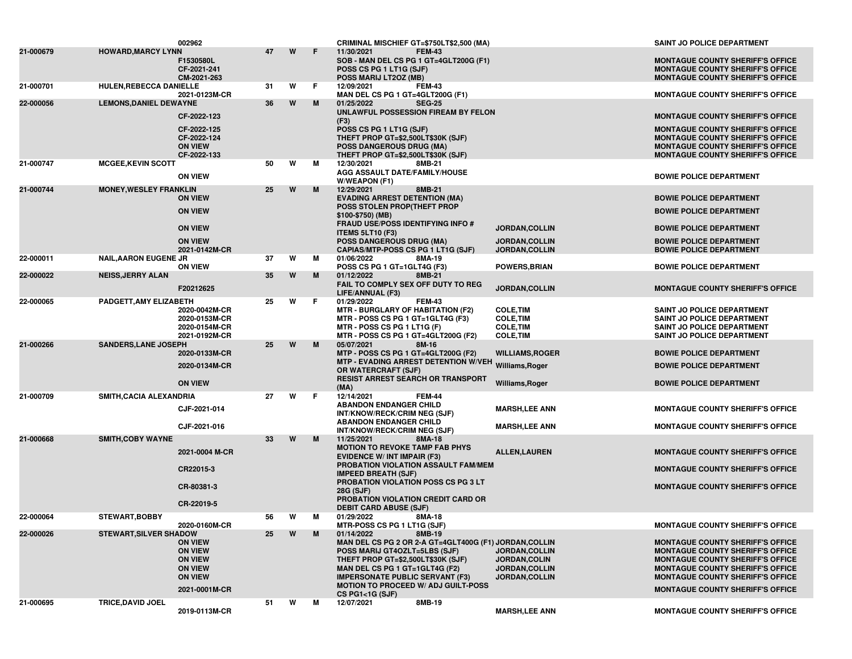|           |                               | 002962                                                                                                  |    |   |    | CRIMINAL MISCHIEF GT=\$750LT\$2,500 (MA)                                                                                                                                                                                                                |                                                                                         | <b>SAINT JO POLICE DEPARTMENT</b>                                                                                                                                                                                                                              |
|-----------|-------------------------------|---------------------------------------------------------------------------------------------------------|----|---|----|---------------------------------------------------------------------------------------------------------------------------------------------------------------------------------------------------------------------------------------------------------|-----------------------------------------------------------------------------------------|----------------------------------------------------------------------------------------------------------------------------------------------------------------------------------------------------------------------------------------------------------------|
| 21-000679 | <b>HOWARD, MARCY LYNN</b>     | F1530580L<br>CF-2021-241<br>CM-2021-263                                                                 | 47 | W | F  | 11/30/2021<br><b>FEM-43</b><br>SOB - MAN DEL CS PG 1 GT=4GLT200G (F1)<br>POSS CS PG 1 LT1G (SJF)<br>POSS MARIJ LT2OZ (MB)                                                                                                                               |                                                                                         | <b>MONTAGUE COUNTY SHERIFF'S OFFICE</b><br><b>MONTAGUE COUNTY SHERIFF'S OFFICE</b><br><b>MONTAGUE COUNTY SHERIFF'S OFFICE</b>                                                                                                                                  |
| 21-000701 | HULEN, REBECCA DANIELLE       | 2021-0123M-CR                                                                                           | 31 | W | F  | 12/09/2021<br><b>FEM-43</b><br>MAN DEL CS PG 1 GT=4GLT200G (F1)                                                                                                                                                                                         |                                                                                         | <b>MONTAGUE COUNTY SHERIFF'S OFFICE</b>                                                                                                                                                                                                                        |
| 22-000056 | <b>LEMONS, DANIEL DEWAYNE</b> |                                                                                                         | 36 | W | M  | <b>SEG-25</b><br>01/25/2022<br>UNLAWFUL POSSESSION FIREAM BY FELON                                                                                                                                                                                      |                                                                                         |                                                                                                                                                                                                                                                                |
|           |                               | CF-2022-123                                                                                             |    |   |    | (F3)                                                                                                                                                                                                                                                    |                                                                                         | <b>MONTAGUE COUNTY SHERIFF'S OFFICE</b>                                                                                                                                                                                                                        |
|           |                               | CF-2022-125<br>CF-2022-124<br><b>ON VIEW</b><br>CF-2022-133                                             |    |   |    | POSS CS PG 1 LT1G (SJF)<br>THEFT PROP GT=\$2,500LT\$30K (SJF)<br><b>POSS DANGEROUS DRUG (MA)</b><br>THEFT PROP GT=\$2,500LT\$30K (SJF)                                                                                                                  |                                                                                         | <b>MONTAGUE COUNTY SHERIFF'S OFFICE</b><br><b>MONTAGUE COUNTY SHERIFF'S OFFICE</b><br><b>MONTAGUE COUNTY SHERIFF'S OFFICE</b><br><b>MONTAGUE COUNTY SHERIFF'S OFFICE</b>                                                                                       |
| 21-000747 | <b>MCGEE, KEVIN SCOTT</b>     | <b>ON VIEW</b>                                                                                          | 50 | W | М  | 12/30/2021<br>8MB-21<br>AGG ASSAULT DATE/FAMILY/HOUSE                                                                                                                                                                                                   |                                                                                         | <b>BOWIE POLICE DEPARTMENT</b>                                                                                                                                                                                                                                 |
| 21-000744 | <b>MONEY, WESLEY FRANKLIN</b> |                                                                                                         | 25 | W | M  | W/WEAPON (F1)<br>12/29/2021<br>8MB-21                                                                                                                                                                                                                   |                                                                                         |                                                                                                                                                                                                                                                                |
|           |                               | <b>ON VIEW</b>                                                                                          |    |   |    | <b>EVADING ARREST DETENTION (MA)</b>                                                                                                                                                                                                                    |                                                                                         | <b>BOWIE POLICE DEPARTMENT</b>                                                                                                                                                                                                                                 |
|           |                               | <b>ON VIEW</b>                                                                                          |    |   |    | POSS STOLEN PROP(THEFT PROP<br>\$100-\$750) (MB)                                                                                                                                                                                                        |                                                                                         | <b>BOWIE POLICE DEPARTMENT</b>                                                                                                                                                                                                                                 |
|           |                               | <b>ON VIEW</b>                                                                                          |    |   |    | <b>FRAUD USE/POSS IDENTIFYING INFO #</b><br>ITEMS 5LT10 (F3)                                                                                                                                                                                            | JORDAN, COLLIN                                                                          | <b>BOWIE POLICE DEPARTMENT</b>                                                                                                                                                                                                                                 |
|           |                               | <b>ON VIEW</b>                                                                                          |    |   |    | <b>POSS DANGEROUS DRUG (MA)</b>                                                                                                                                                                                                                         | JORDAN, COLLIN                                                                          | <b>BOWIE POLICE DEPARTMENT</b>                                                                                                                                                                                                                                 |
| 22-000011 | <b>NAIL, AARON EUGENE JR</b>  | 2021-0142M-CR                                                                                           | 37 | W | м  | CAPIAS/MTP-POSS CS PG 1 LT1G (SJF)<br>01/06/2022<br>8MA-19                                                                                                                                                                                              | <b>JORDAN,COLLIN</b>                                                                    | <b>BOWIE POLICE DEPARTMENT</b>                                                                                                                                                                                                                                 |
|           |                               | <b>ON VIEW</b>                                                                                          |    |   |    | POSS CS PG 1 GT=1GLT4G (F3)<br>01/12/2022                                                                                                                                                                                                               | <b>POWERS, BRIAN</b>                                                                    | <b>BOWIE POLICE DEPARTMENT</b>                                                                                                                                                                                                                                 |
| 22-000022 | <b>NEISS, JERRY ALAN</b>      | F20212625                                                                                               | 35 | W | M  | 8MB-21<br>FAIL TO COMPLY SEX OFF DUTY TO REG<br>LIFE/ANNUAL (F3)                                                                                                                                                                                        | JORDAN, COLLIN                                                                          | <b>MONTAGUE COUNTY SHERIFF'S OFFICE</b>                                                                                                                                                                                                                        |
| 22-000065 | PADGETT, AMY ELIZABETH        | 2020-0042M-CR<br>2020-0153M-CR<br>2020-0154M-CR<br>2021-0192M-CR                                        | 25 | W | F. | <b>FEM-43</b><br>01/29/2022<br><b>MTR - BURGLARY OF HABITATION (F2)</b><br>MTR - POSS CS PG 1 GT=1GLT4G (F3)<br>MTR - POSS CS PG 1 LT1G (F)<br>MTR - POSS CS PG 1 GT=4GLT200G (F2)                                                                      | <b>COLE, TIM</b><br><b>COLE, TIM</b><br><b>COLE, TIM</b><br><b>COLE, TIM</b>            | SAINT JO POLICE DEPARTMENT<br>SAINT JO POLICE DEPARTMENT<br><b>SAINT JO POLICE DEPARTMENT</b><br>SAINT JO POLICE DEPARTMENT                                                                                                                                    |
| 21-000266 | <b>SANDERS, LANE JOSEPH</b>   |                                                                                                         | 25 | W | M  | 05/07/2021<br>8M-16                                                                                                                                                                                                                                     |                                                                                         |                                                                                                                                                                                                                                                                |
|           |                               | 2020-0133M-CR                                                                                           |    |   |    | MTP - POSS CS PG 1 GT=4GLT200G (F2)<br>MTP - EVADING ARREST DETENTION W/VEH                                                                                                                                                                             | <b>WILLIAMS, ROGER</b>                                                                  | <b>BOWIE POLICE DEPARTMENT</b>                                                                                                                                                                                                                                 |
|           |                               | 2020-0134M-CR                                                                                           |    |   |    | OR WATERCRAFT (SJF)<br><b>RESIST ARREST SEARCH OR TRANSPORT</b>                                                                                                                                                                                         | Williams, Roger                                                                         | <b>BOWIE POLICE DEPARTMENT</b>                                                                                                                                                                                                                                 |
|           |                               | <b>ON VIEW</b>                                                                                          |    |   |    | (MA)                                                                                                                                                                                                                                                    | Williams, Roger                                                                         | <b>BOWIE POLICE DEPARTMENT</b>                                                                                                                                                                                                                                 |
| 21-000709 | SMITH, CACIA ALEXANDRIA       | CJF-2021-014                                                                                            | 27 | W | F  | 12/14/2021<br><b>FEM-44</b><br><b>ABANDON ENDANGER CHILD</b><br>INT/KNOW/RECK/CRIM NEG (SJF)                                                                                                                                                            | <b>MARSH,LEE ANN</b>                                                                    | <b>MONTAGUE COUNTY SHERIFF'S OFFICE</b>                                                                                                                                                                                                                        |
|           |                               | CJF-2021-016                                                                                            |    |   |    | <b>ABANDON ENDANGER CHILD</b>                                                                                                                                                                                                                           | <b>MARSH,LEE ANN</b>                                                                    | <b>MONTAGUE COUNTY SHERIFF'S OFFICE</b>                                                                                                                                                                                                                        |
| 21-000668 | <b>SMITH, COBY WAYNE</b>      |                                                                                                         | 33 | W | M  | INT/KNOW/RECK/CRIM NEG (SJF)<br>11/25/2021<br>8MA-18                                                                                                                                                                                                    |                                                                                         |                                                                                                                                                                                                                                                                |
|           |                               | 2021-0004 M-CR                                                                                          |    |   |    | <b>MOTION TO REVOKE TAMP FAB PHYS</b><br><b>EVIDENCE W/ INT IMPAIR (F3)</b>                                                                                                                                                                             | <b>ALLEN, LAUREN</b>                                                                    | <b>MONTAGUE COUNTY SHERIFF'S OFFICE</b>                                                                                                                                                                                                                        |
|           |                               | CR22015-3                                                                                               |    |   |    | PROBATION VIOLATION ASSAULT FAM/MEM<br><b>IMPEED BREATH (SJF)</b>                                                                                                                                                                                       |                                                                                         | <b>MONTAGUE COUNTY SHERIFF'S OFFICE</b>                                                                                                                                                                                                                        |
|           |                               | CR-80381-3                                                                                              |    |   |    | PROBATION VIOLATION POSS CS PG 3 LT<br>28G (SJF)                                                                                                                                                                                                        |                                                                                         | <b>MONTAGUE COUNTY SHERIFF'S OFFICE</b>                                                                                                                                                                                                                        |
|           |                               | CR-22019-5                                                                                              |    |   |    | PROBATION VIOLATION CREDIT CARD OR                                                                                                                                                                                                                      |                                                                                         |                                                                                                                                                                                                                                                                |
| 22-000064 | <b>STEWART, BOBBY</b>         |                                                                                                         | 56 | W | М  | <b>DEBIT CARD ABUSE (SJF)</b><br>01/29/2022<br>8MA-18                                                                                                                                                                                                   |                                                                                         |                                                                                                                                                                                                                                                                |
| 22-000026 | <b>STEWART, SILVER SHADOW</b> | 2020-0160M-CR                                                                                           | 25 | W | M  | <b>MTR-POSS CS PG 1 LT1G (SJF)</b><br>01/14/2022<br>8MB-19                                                                                                                                                                                              |                                                                                         | <b>MONTAGUE COUNTY SHERIFF'S OFFICE</b>                                                                                                                                                                                                                        |
|           |                               | <b>ON VIEW</b><br><b>ON VIEW</b><br><b>ON VIEW</b><br><b>ON VIEW</b><br><b>ON VIEW</b><br>2021-0001M-CR |    |   |    | MAN DEL CS PG 2 OR 2-A GT=4GLT400G (F1) JORDAN, COLLIN<br>POSS MARIJ GT4OZLT=5LBS (SJF)<br>THEFT PROP GT=\$2,500LT\$30K (SJF)<br>MAN DEL CS PG 1 GT=1GLT4G (F2)<br><b>IMPERSONATE PUBLIC SERVANT (F3)</b><br><b>MOTION TO PROCEED W/ ADJ GUILT-POSS</b> | <b>JORDAN, COLLIN</b><br><b>JORDAN,COLIN</b><br>JORDAN, COLLIN<br><b>JORDAN, COLLIN</b> | <b>MONTAGUE COUNTY SHERIFF'S OFFICE</b><br><b>MONTAGUE COUNTY SHERIFF'S OFFICE</b><br><b>MONTAGUE COUNTY SHERIFF'S OFFICE</b><br><b>MONTAGUE COUNTY SHERIFF'S OFFICE</b><br><b>MONTAGUE COUNTY SHERIFF'S OFFICE</b><br><b>MONTAGUE COUNTY SHERIFF'S OFFICE</b> |
| 21-000695 | TRICE, DAVID JOEL             |                                                                                                         | 51 | W | м  | CS PG1<1G (SJF)<br>12/07/2021<br>8MB-19                                                                                                                                                                                                                 |                                                                                         |                                                                                                                                                                                                                                                                |
|           |                               | 2019-0113M-CR                                                                                           |    |   |    |                                                                                                                                                                                                                                                         | <b>MARSH,LEE ANN</b>                                                                    | <b>MONTAGUE COUNTY SHERIFF'S OFFICE</b>                                                                                                                                                                                                                        |